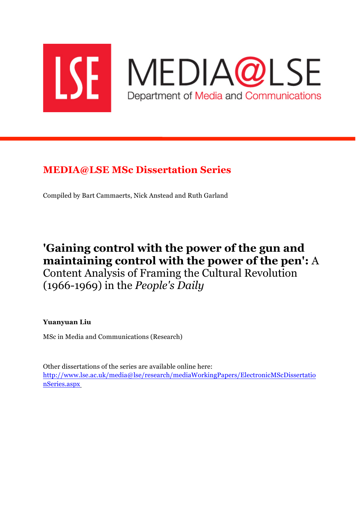

# **MEDIA@LSE MSc Dissertation Series**

Compiled by Bart Cammaerts, Nick Anstead and Ruth Garland

# **'Gaining control with the power of the gun and maintaining control with the power of the pen':** A Content Analysis of Framing the Cultural Revolution (1966-1969) in the *People's Daily*

**Yuanyuan Liu**

MSc in Media and Communications (Research)

Other dissertations of the series are available online here: http://www.lse.ac.uk/media@lse/research/mediaWorkingPapers/ElectronicMScDissertatio nSeries.aspx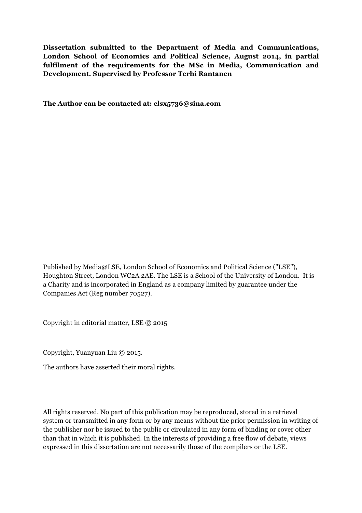**Dissertation submitted to the Department of Media and Communications, London School of Economics and Political Science, August 2014, in partial fulfilment of the requirements for the MSc in Media, Communication and Development. Supervised by Professor Terhi Rantanen**

**The Author can be contacted at: clsx5736@sina.com**

Published by Media@LSE, London School of Economics and Political Science ("LSE"), Houghton Street, London WC2A 2AE. The LSE is a School of the University of London. It is a Charity and is incorporated in England as a company limited by guarantee under the Companies Act (Reg number 70527).

Copyright in editorial matter, LSE © 2015

Copyright, Yuanyuan Liu © 2015.

The authors have asserted their moral rights.

All rights reserved. No part of this publication may be reproduced, stored in a retrieval system or transmitted in any form or by any means without the prior permission in writing of the publisher nor be issued to the public or circulated in any form of binding or cover other than that in which it is published. In the interests of providing a free flow of debate, views expressed in this dissertation are not necessarily those of the compilers or the LSE.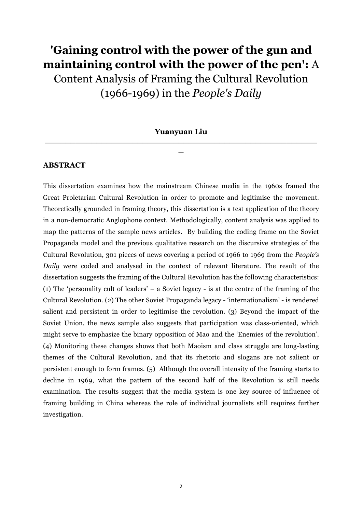# **'Gaining control with the power of the gun and maintaining control with the power of the pen':** A

Content Analysis of Framing the Cultural Revolution (1966-1969) in the *People's Daily*

**Yuanyuan Liu \_\_\_\_\_\_\_\_\_\_\_\_\_\_\_\_\_\_\_\_\_\_\_\_\_\_\_\_\_\_\_\_\_\_\_\_\_\_\_\_\_\_\_\_\_\_\_\_\_\_\_\_\_**

**\_**

#### **ABSTRACT**

This dissertation examines how the mainstream Chinese media in the 1960s framed the Great Proletarian Cultural Revolution in order to promote and legitimise the movement. Theoretically grounded in framing theory, this dissertation is a test application of the theory in a non-democratic Anglophone context. Methodologically, content analysis was applied to map the patterns of the sample news articles. By building the coding frame on the Soviet Propaganda model and the previous qualitative research on the discursive strategies of the Cultural Revolution, 301 pieces of news covering a period of 1966 to 1969 from the *People's Daily* were coded and analysed in the context of relevant literature. The result of the dissertation suggests the framing of the Cultural Revolution has the following characteristics: (1) The 'personality cult of leaders' – a Soviet legacy - is at the centre of the framing of the Cultural Revolution. (2) The other Soviet Propaganda legacy - 'internationalism' - is rendered salient and persistent in order to legitimise the revolution. (3) Beyond the impact of the Soviet Union, the news sample also suggests that participation was class-oriented, which might serve to emphasize the binary opposition of Mao and the 'Enemies of the revolution'. (4) Monitoring these changes shows that both Maoism and class struggle are long-lasting themes of the Cultural Revolution, and that its rhetoric and slogans are not salient or persistent enough to form frames. (5) Although the overall intensity of the framing starts to decline in 1969, what the pattern of the second half of the Revolution is still needs examination. The results suggest that the media system is one key source of influence of framing building in China whereas the role of individual journalists still requires further investigation.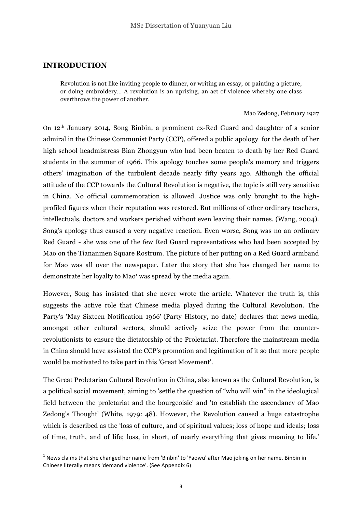#### **INTRODUCTION**

<u> 1989 - Johann Stein, marwolaethau a bh</u>

Revolution is not like inviting people to dinner, or writing an essay, or painting a picture, or doing embroidery… A revolution is an uprising, an act of violence whereby one class overthrows the power of another.

#### Mao Zedong, February 1927

On 12th January 2014, Song Binbin, a prominent ex-Red Guard and daughter of a senior admiral in the Chinese Communist Party (CCP), offered a public apology for the death of her high school headmistress Bian Zhongyun who had been beaten to death by her Red Guard students in the summer of 1966. This apology touches some people's memory and triggers others' imagination of the turbulent decade nearly fifty years ago. Although the official attitude of the CCP towards the Cultural Revolution is negative, the topic is still very sensitive in China. No official commemoration is allowed. Justice was only brought to the highprofiled figures when their reputation was restored. But millions of other ordinary teachers, intellectuals, doctors and workers perished without even leaving their names. (Wang, 2004). Song's apology thus caused a very negative reaction. Even worse, Song was no an ordinary Red Guard - she was one of the few Red Guard representatives who had been accepted by Mao on the Tiananmen Square Rostrum. The picture of her putting on a Red Guard armband for Mao was all over the newspaper. Later the story that she has changed her name to demonstrate her loyalty to Mao<sup>1</sup> was spread by the media again.

However, Song has insisted that she never wrote the article. Whatever the truth is, this suggests the active role that Chinese media played during the Cultural Revolution. The Party's 'May Sixteen Notification 1966' (Party History, no date) declares that news media, amongst other cultural sectors, should actively seize the power from the counterrevolutionists to ensure the dictatorship of the Proletariat. Therefore the mainstream media in China should have assisted the CCP's promotion and legitimation of it so that more people would be motivated to take part in this 'Great Movement'.

The Great Proletarian Cultural Revolution in China, also known as the Cultural Revolution, is a political social movement, aiming to 'settle the question of "who will win" in the ideological field between the proletariat and the bourgeoisie' and 'to establish the ascendancy of Mao Zedong's Thought' (White, 1979: 48). However, the Revolution caused a huge catastrophe which is described as the 'loss of culture, and of spiritual values; loss of hope and ideals; loss of time, truth, and of life; loss, in short, of nearly everything that gives meaning to life.'

 $1$  News claims that she changed her name from 'Binbin' to 'Yaowu' after Mao joking on her name. Binbin in Chinese literally means 'demand violence'. (See Appendix 6)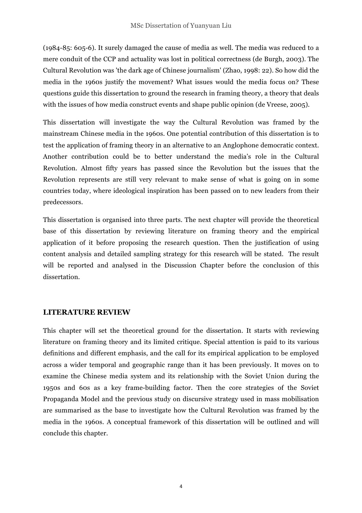(1984-85: 605-6). It surely damaged the cause of media as well. The media was reduced to a mere conduit of the CCP and actuality was lost in political correctness (de Burgh, 2003). The Cultural Revolution was 'the dark age of Chinese journalism' (Zhao, 1998: 22). So how did the media in the 1960s justify the movement? What issues would the media focus on? These questions guide this dissertation to ground the research in framing theory, a theory that deals with the issues of how media construct events and shape public opinion (de Vreese, 2005).

This dissertation will investigate the way the Cultural Revolution was framed by the mainstream Chinese media in the 1960s. One potential contribution of this dissertation is to test the application of framing theory in an alternative to an Anglophone democratic context. Another contribution could be to better understand the media's role in the Cultural Revolution. Almost fifty years has passed since the Revolution but the issues that the Revolution represents are still very relevant to make sense of what is going on in some countries today, where ideological inspiration has been passed on to new leaders from their predecessors.

This dissertation is organised into three parts. The next chapter will provide the theoretical base of this dissertation by reviewing literature on framing theory and the empirical application of it before proposing the research question. Then the justification of using content analysis and detailed sampling strategy for this research will be stated. The result will be reported and analysed in the Discussion Chapter before the conclusion of this dissertation.

## **LITERATURE REVIEW**

This chapter will set the theoretical ground for the dissertation. It starts with reviewing literature on framing theory and its limited critique. Special attention is paid to its various definitions and different emphasis, and the call for its empirical application to be employed across a wider temporal and geographic range than it has been previously. It moves on to examine the Chinese media system and its relationship with the Soviet Union during the 1950s and 60s as a key frame-building factor. Then the core strategies of the Soviet Propaganda Model and the previous study on discursive strategy used in mass mobilisation are summarised as the base to investigate how the Cultural Revolution was framed by the media in the 1960s. A conceptual framework of this dissertation will be outlined and will conclude this chapter.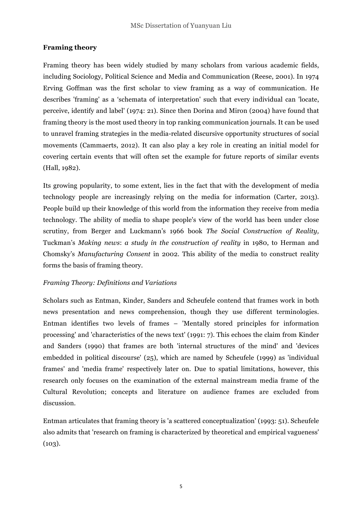# **Framing theory**

Framing theory has been widely studied by many scholars from various academic fields, including Sociology, Political Science and Media and Communication (Reese, 2001). In 1974 Erving Goffman was the first scholar to view framing as a way of communication. He describes 'framing' as a 'schemata of interpretation' such that every individual can 'locate, perceive, identify and label' (1974: 21). Since then Dorina and Miron (2004) have found that framing theory is the most used theory in top ranking communication journals. It can be used to unravel framing strategies in the media-related discursive opportunity structures of social movements (Cammaerts, 2012). It can also play a key role in creating an initial model for covering certain events that will often set the example for future reports of similar events (Hall, 1982).

Its growing popularity, to some extent, lies in the fact that with the development of media technology people are increasingly relying on the media for information (Carter, 2013). People build up their knowledge of this world from the information they receive from media technology. The ability of media to shape people's view of the world has been under close scrutiny, from Berger and Luckmann's 1966 book *The Social Construction of Reality,* Tuckman's *Making news*: *a study in the construction of reality* in 1980, to Herman and Chomsky's *Manufacturing Consent* in 2002. This ability of the media to construct reality forms the basis of framing theory.

## *Framing Theory: Definitions and Variations*

Scholars such as Entman, Kinder, Sanders and Scheufele contend that frames work in both news presentation and news comprehension, though they use different terminologies. Entman identifies two levels of frames – 'Mentally stored principles for information processing' and 'characteristics of the news text' (1991: 7). This echoes the claim from Kinder and Sanders (1990) that frames are both 'internal structures of the mind' and 'devices embedded in political discourse' (25), which are named by Scheufele (1999) as 'individual frames' and 'media frame' respectively later on. Due to spatial limitations, however, this research only focuses on the examination of the external mainstream media frame of the Cultural Revolution; concepts and literature on audience frames are excluded from discussion.

Entman articulates that framing theory is 'a scattered conceptualization' (1993: 51). Scheufele also admits that 'research on framing is characterized by theoretical and empirical vagueness'  $(103)$ .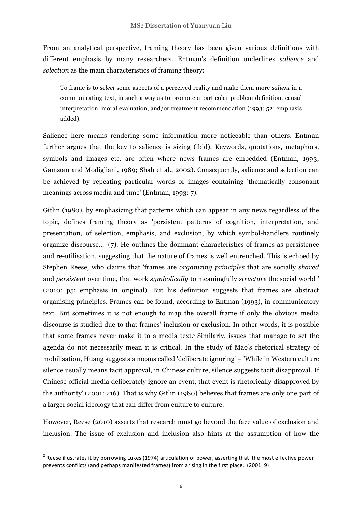From an analytical perspective, framing theory has been given various definitions with different emphasis by many researchers. Entman's definition underlines *salience* and *selection* as the main characteristics of framing theory:

To frame is to *select* some aspects of a perceived reality and make them more *salient* in a communicating text, in such a way as to promote a particular problem definition, causal interpretation, moral evaluation, and/or treatment recommendation (1993: 52; emphasis added).

Salience here means rendering some information more noticeable than others. Entman further argues that the key to salience is sizing (ibid). Keywords, quotations, metaphors, symbols and images etc. are often where news frames are embedded (Entman, 1993; Gamsom and Modigliani, 1989; Shah et al., 2002). Consequently, salience and selection can be achieved by repeating particular words or images containing 'thematically consonant meanings across media and time' (Entman, 1993: 7).

Gitlin (1980), by emphasizing that patterns which can appear in any news regardless of the topic, defines framing theory as 'persistent patterns of cognition, interpretation, and presentation, of selection, emphasis, and exclusion, by which symbol-handlers routinely organize discourse...' (7). He outlines the dominant characteristics of frames as persistence and re-utilisation, suggesting that the nature of frames is well entrenched. This is echoed by Stephen Reese, who claims that 'frames are *organizing principles* that are socially *shared* and *persistent* over time, that work *symbolically* to meaningfully *structure* the social world ' (2010: p5; emphasis in original). But his definition suggests that frames are abstract organising principles. Frames can be found, according to Entman (1993), in communicatory text. But sometimes it is not enough to map the overall frame if only the obvious media discourse is studied due to that frames' inclusion or exclusion. In other words, it is possible that some frames never make it to a media text.2 Similarly, issues that manage to set the agenda do not necessarily mean it is critical. In the study of Mao's rhetorical strategy of mobilisation, Huang suggests a means called 'deliberate ignoring' – 'While in Western culture silence usually means tacit approval, in Chinese culture, silence suggests tacit disapproval. If Chinese official media deliberately ignore an event, that event is rhetorically disapproved by the authority' (2001: 216). That is why Gitlin (1980) believes that frames are only one part of a larger social ideology that can differ from culture to culture.

However, Reese (2010) asserts that research must go beyond the face value of exclusion and inclusion. The issue of exclusion and inclusion also hints at the assumption of how the

<u> 1989 - Johann Stein, marwolaethau a bh</u>

 $2$  Reese illustrates it by borrowing Lukes (1974) articulation of power, asserting that 'the most effective power prevents conflicts (and perhaps manifested frames) from arising in the first place.' (2001: 9)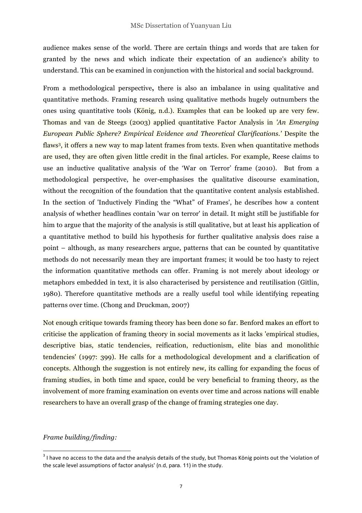audience makes sense of the world. There are certain things and words that are taken for granted by the news and which indicate their expectation of an audience's ability to understand. This can be examined in conjunction with the historical and social background.

From a methodological perspective**,** there is also an imbalance in using qualitative and quantitative methods. Framing research using qualitative methods hugely outnumbers the ones using quantitative tools (König, n.d.). Examples that can be looked up are very few. Thomas and van de Steegs (2003) applied quantitative Factor Analysis in *'An Emerging European Public Sphere? Empirical Evidence and Theoretical Clarifications.'* Despite the flaws3, it offers a new way to map latent frames from texts. Even when quantitative methods are used, they are often given little credit in the final articles. For example, Reese claims to use an inductive qualitative analysis of the 'War on Terror' frame (2010). But from a methodological perspective, he over-emphasises the qualitative discourse examination, without the recognition of the foundation that the quantitative content analysis established. In the section of 'Inductively Finding the "What" of Frames', he describes how a content analysis of whether headlines contain 'war on terror' in detail. It might still be justifiable for him to argue that the majority of the analysis is still qualitative, but at least his application of a quantitative method to build his hypothesis for further qualitative analysis does raise a point – although, as many researchers argue, patterns that can be counted by quantitative methods do not necessarily mean they are important frames; it would be too hasty to reject the information quantitative methods can offer. Framing is not merely about ideology or metaphors embedded in text, it is also characterised by persistence and reutilisation (Gitlin, 1980). Therefore quantitative methods are a really useful tool while identifying repeating patterns over time. (Chong and Druckman, 2007)

Not enough critique towards framing theory has been done so far. Benford makes an effort to criticise the application of framing theory in social movements as it lacks 'empirical studies, descriptive bias, static tendencies, reification, reductionism, elite bias and monolithic tendencies' (1997: 399). He calls for a methodological development and a clarification of concepts. Although the suggestion is not entirely new, its calling for expanding the focus of framing studies, in both time and space, could be very beneficial to framing theory, as the involvement of more framing examination on events over time and across nations will enable researchers to have an overall grasp of the change of framing strategies one day.

## *Frame building/finding:*

<u> 1989 - Johann Stein, marwolaethau a bh</u>

 $3$  I have no access to the data and the analysis details of the study, but Thomas König points out the 'violation of the scale level assumptions of factor analysis' (n.d, para. 11) in the study.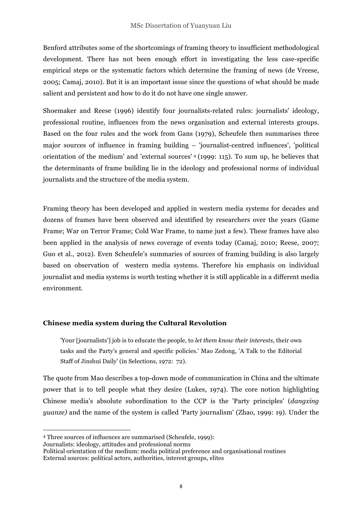Benford attributes some of the shortcomings of framing theory to insufficient methodological development. There has not been enough effort in investigating the less case-specific empirical steps or the systematic factors which determine the framing of news (de Vreese, 2005; Camaj, 2010). But it is an important issue since the questions of what should be made salient and persistent and how to do it do not have one single answer.

Shoemaker and Reese (1996) identify four journalists-related rules: journalists' ideology, professional routine, influences from the news organisation and external interests groups. Based on the four rules and the work from Gans (1979), Scheufele then summarises three major sources of influence in framing building – 'journalist-centred influences', 'political orientation of the medium' and 'external sources' <sup>4</sup> (1999: 115). To sum up, he believes that the determinants of frame building lie in the ideology and professional norms of individual journalists and the structure of the media system.

Framing theory has been developed and applied in western media systems for decades and dozens of frames have been observed and identified by researchers over the years (Game Frame; War on Terror Frame; Cold War Frame, to name just a few). These frames have also been applied in the analysis of news coverage of events today (Camaj, 2010; Reese, 2007; Guo et al., 2012). Even Scheufele's summaries of sources of framing building is also largely based on observation of western media systems. Therefore his emphasis on individual journalist and media systems is worth testing whether it is still applicable in a different media environment.

## **Chinese media system during the Cultural Revolution**

'Your [journalists'] job is to educate the people, to *let them know their interests*, their own tasks and the Party's general and specific policies.' Mao Zedong, 'A Talk to the Editorial Staff of Jinshui Daily' (in Selections, 1972: 72).

The quote from Mao describes a top-down mode of communication in China and the ultimate power that is to tell people what they desire (Lukes, 1974). The core notion highlighting Chinese media's absolute subordination to the CCP is the 'Party principles' (*dangxing yuanze)* and the name of the system is called 'Party journalism' (Zhao, 1999: 19). Under the

 

<sup>4</sup> Three sources of influences are summarised (Scheufele, 1999):

Journalists: ideology, attitudes and professional norms

Political orientation of the medium: media political preference and organisational routines External sources: political actors, authorities, interest groups, elites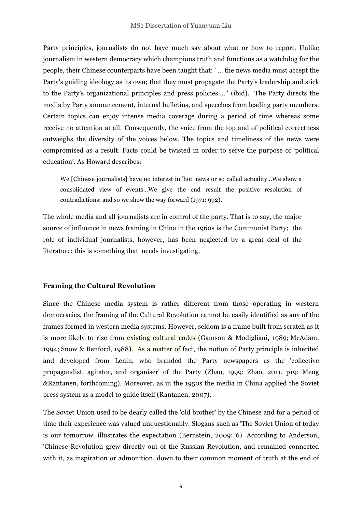Party principles, journalists do not have much say about what or how to report. Unlike journalism in western democracy which champions truth and functions as a watchdog for the people, their Chinese counterparts have been taught that: ' … the news media must accept the Party's guiding ideology as its own; that they must propagate the Party's leadership and stick to the Party's organizational principles and press policies.... ' (ibid). The Party directs the media by Party announcement, internal bulletins, and speeches from leading party members. Certain topics can enjoy intense media coverage during a period of time whereas some receive no attention at all. Consequently, the voice from the top and of political correctness outweighs the diversity of the voices below. The topics and timeliness of the news were compromised as a result. Facts could be twisted in order to serve the purpose of 'political education'. As Howard describes:

We [Chinese journalists] have no interest in 'hot' news or so called actuality…We show a consolidated view of events…We give the end result the positive resolution of contradictions: and so we show the way forward (1971: 992).

The whole media and all journalists are in control of the party. That is to say, the major source of influence in news framing in China in the 1960s is the Communist Party; the role of individual journalists, however, has been neglected by a great deal of the literature; this is something that needs investigating.

## **Framing the Cultural Revolution**

Since the Chinese media system is rather different from those operating in western democracies, the framing of the Cultural Revolution cannot be easily identified as any of the frames formed in western media systems. However, seldom is a frame built from scratch as it is more likely to rise from existing cultural codes (Gamson & Modigliani, 1989; McAdam, 1994; Snow & Benford, 1988). As a matter of fact, the notion of Party principle is inherited and developed from Lenin, who branded the Party newspapers as the 'collective propagandist, agitator, and organiser' of the Party (Zhao, 1999; Zhao, 2011, p19; Meng &Rantanen, forthcoming). Moreover, as in the 1950s the media in China applied the Soviet press system as a model to guide itself (Rantanen, 2007).

The Soviet Union used to be dearly called the 'old brother' by the Chinese and for a period of time their experience was valued unquestionably. Slogans such as 'The Soviet Union of today is our tomorrow' illustrates the expectation (Bernstein, 2009: 6). According to Anderson, 'Chinese Revolution grew directly out of the Russian Revolution, and remained connected with it, as inspiration or admonition, down to their common moment of truth at the end of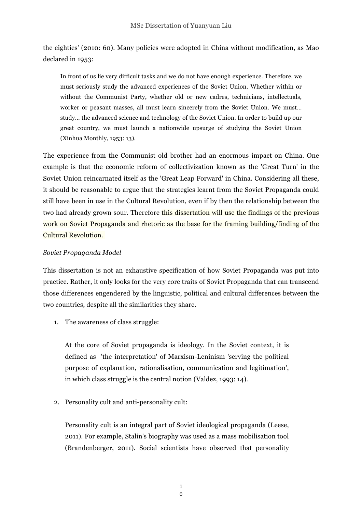the eighties' (2010: 60). Many policies were adopted in China without modification, as Mao declared in 1953:

In front of us lie very difficult tasks and we do not have enough experience. Therefore, we must seriously study the advanced experiences of the Soviet Union. Whether within or without the Communist Party, whether old or new cadres, technicians, intellectuals, worker or peasant masses, all must learn sincerely from the Soviet Union. We must… study… the advanced science and technology of the Soviet Union. In order to build up our great country, we must launch a nationwide upsurge of studying the Soviet Union (Xinhua Monthly, 1953: 13).

The experience from the Communist old brother had an enormous impact on China. One example is that the economic reform of collectivization known as the 'Great Turn' in the Soviet Union reincarnated itself as the 'Great Leap Forward' in China. Considering all these, it should be reasonable to argue that the strategies learnt from the Soviet Propaganda could still have been in use in the Cultural Revolution, even if by then the relationship between the two had already grown sour. Therefore this dissertation will use the findings of the previous work on Soviet Propaganda and rhetoric as the base for the framing building/finding of the Cultural Revolution.

## *Soviet Propaganda Model*

This dissertation is not an exhaustive specification of how Soviet Propaganda was put into practice. Rather, it only looks for the very core traits of Soviet Propaganda that can transcend those differences engendered by the linguistic, political and cultural differences between the two countries, despite all the similarities they share.

1. The awareness of class struggle:

At the core of Soviet propaganda is ideology. In the Soviet context, it is defined as 'the interpretation' of Marxism-Leninism 'serving the political purpose of explanation, rationalisation, communication and legitimation', in which class struggle is the central notion (Valdez, 1993: 14).

2. Personality cult and anti-personality cult:

Personality cult is an integral part of Soviet ideological propaganda (Leese, 2011). For example, Stalin's biography was used as a mass mobilisation tool (Brandenberger, 2011). Social scientists have observed that personality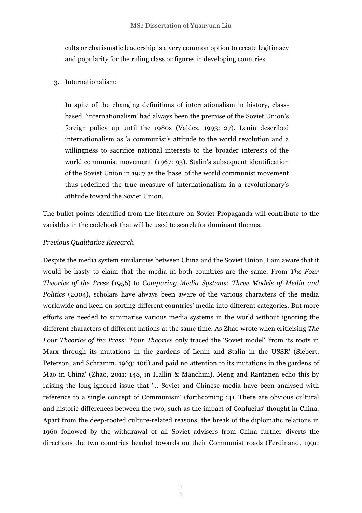cults or charismatic leadership is a very common option to create legitimacy and popularity for the ruling class or figures in developing countries.

#### 3. Internationalism:

In spite of the changing definitions of internationalism in history, classbased 'internationalism' had always been the premise of the Soviet Union's foreign policy up until the 1980s (Valdez, 1993: 27). Lenin described internationalism as 'a communist's attitude to the world revolution and a willingness to sacrifice national interests to the broader interests of the world communist movement' (1967: 93). Stalin's subsequent identification of the Soviet Union in 1927 as the 'base' of the world communist movement thus redefined the true measure of internationalism in a revolutionary's attitude toward the Soviet Union.

The bullet points identified from the literature on Soviet Propaganda will contribute to the variables in the codebook that will be used to search for dominant themes.

#### *Previous Qualitative Research*

Despite the media system similarities between China and the Soviet Union, I am aware that it would be hasty to claim that the media in both countries are the same. From *The Four Theories of the Press* (1956) to *Comparing Media Systems: Three Models of Media and Politics* (2004), scholars have always been aware of the various characters of the media worldwide and keen on sorting different countries' media into different categories. But more efforts are needed to summarise various media systems in the world without ignoring the different characters of different nations at the same time. As Zhao wrote when criticising *The Four Theories of the Press*: '*Four Theories* only traced the 'Soviet model' 'from its roots in Marx through its mutations in the gardens of Lenin and Stalin in the USSR' (Siebert, Peterson, and Schramm, 1963: 106) and paid no attention to its mutations in the gardens of Mao in China' (Zhao, 2011: 148, in Hallin & Manchini). Meng and Rantanen echo this by raising the long-ignored issue that '… Soviet and Chinese media have been analysed with reference to a single concept of Communism' (forthcoming :4). There are obvious cultural and historic differences between the two, such as the impact of Confucius' thought in China. Apart from the deep-rooted culture-related reasons, the break of the diplomatic relations in 1960 followed by the withdrawal of all Soviet advisers from China further diverts the directions the two countries headed towards on their Communist roads (Ferdinand, 1991;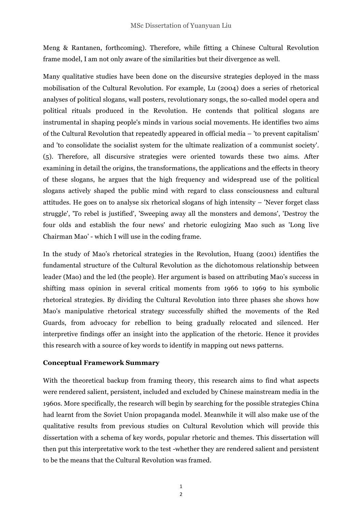Meng & Rantanen, forthcoming). Therefore, while fitting a Chinese Cultural Revolution frame model, I am not only aware of the similarities but their divergence as well.

Many qualitative studies have been done on the discursive strategies deployed in the mass mobilisation of the Cultural Revolution. For example, Lu (2004) does a series of rhetorical analyses of political slogans, wall posters, revolutionary songs, the so-called model opera and political rituals produced in the Revolution. He contends that political slogans are instrumental in shaping people's minds in various social movements. He identifies two aims of the Cultural Revolution that repeatedly appeared in official media – 'to prevent capitalism' and 'to consolidate the socialist system for the ultimate realization of a communist society'. (5). Therefore, all discursive strategies were oriented towards these two aims. After examining in detail the origins, the transformations, the applications and the effects in theory of these slogans, he argues that the high frequency and widespread use of the political slogans actively shaped the public mind with regard to class consciousness and cultural attitudes. He goes on to analyse six rhetorical slogans of high intensity – 'Never forget class struggle', 'To rebel is justified', 'Sweeping away all the monsters and demons', 'Destroy the four olds and establish the four news' and rhetoric eulogizing Mao such as 'Long live Chairman Mao' - which I will use in the coding frame.

In the study of Mao's rhetorical strategies in the Revolution, Huang (2001) identifies the fundamental structure of the Cultural Revolution as the dichotomous relationship between leader (Mao) and the led (the people). Her argument is based on attributing Mao's success in shifting mass opinion in several critical moments from 1966 to 1969 to his symbolic rhetorical strategies. By dividing the Cultural Revolution into three phases she shows how Mao's manipulative rhetorical strategy successfully shifted the movements of the Red Guards, from advocacy for rebellion to being gradually relocated and silenced. Her interpretive findings offer an insight into the application of the rhetoric. Hence it provides this research with a source of key words to identify in mapping out news patterns.

## **Conceptual Framework Summary**

With the theoretical backup from framing theory, this research aims to find what aspects were rendered salient, persistent, included and excluded by Chinese mainstream media in the 1960s. More specifically, the research will begin by searching for the possible strategies China had learnt from the Soviet Union propaganda model. Meanwhile it will also make use of the qualitative results from previous studies on Cultural Revolution which will provide this dissertation with a schema of key words, popular rhetoric and themes. This dissertation will then put this interpretative work to the test -whether they are rendered salient and persistent to be the means that the Cultural Revolution was framed.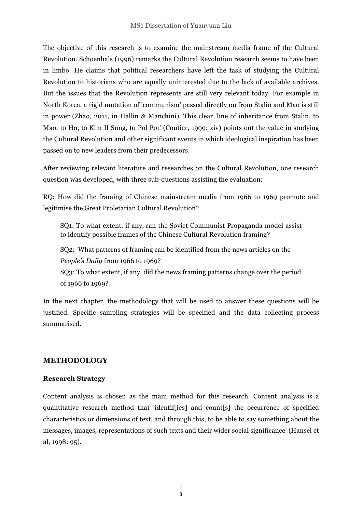The objective of this research is to examine the mainstream media frame of the Cultural Revolution. Schoenhals (1996) remarks the Cultural Revolution research seems to have been in limbo. He claims that political researchers have left the task of studying the Cultural Revolution to historians who are equally uninterested due to the lack of available archives. But the issues that the Revolution represents are still very relevant today. For example in North Korea, a rigid mutation of 'communism' passed directly on from Stalin and Mao is still in power (Zhao, 2011, in Hallin & Manchini). This clear 'line of inheritance from Stalin, to Mao, to Ho, to Kim Il Sung, to Pol Pot' (Coutier, 1999: xiv) points out the value in studying the Cultural Revolution and other significant events in which ideological inspiration has been passed on to new leaders from their predecessors.

After reviewing relevant literature and researches on the Cultural Revolution, one research question was developed, with three sub-questions assisting the evaluation:

RQ: How did the framing of Chinese mainstream media from 1966 to 1969 promote and legitimise the Great Proletarian Cultural Revolution?

SQ1: To what extent, if any, can the Soviet Communist Propaganda model assist to identify possible frames of the Chinese Cultural Revolution framing?

SQ2: What patterns of framing can be identified from the news articles on the *People's Daily* from 1966 to 1969?

SQ3: To what extent, if any, did the news framing patterns change over the period of 1966 to 1969?

In the next chapter, the methodology that will be used to answer these questions will be justified. Specific sampling strategies will be specified and the data collecting process summarised.

# **METHODOLOGY**

## **Research Strategy**

Content analysis is chosen as the main method for this research. Content analysis is a quantitative research method that 'identif[ies] and count[s] the occurrence of specified characteristics or dimensions of text, and through this, to be able to say something about the messages, images, representations of such texts and their wider social significance' (Hansel et al, 1998: 95).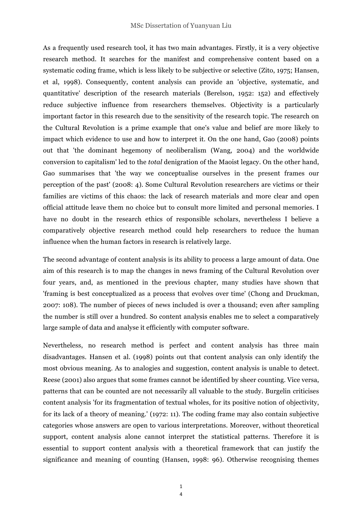As a frequently used research tool, it has two main advantages. Firstly, it is a very objective research method. It searches for the manifest and comprehensive content based on a systematic coding frame, which is less likely to be subjective or selective (Zito, 1975; Hansen, et al, 1998). Consequently, content analysis can provide an 'objective, systematic, and quantitative' description of the research materials (Berelson, 1952: 152) and effectively reduce subjective influence from researchers themselves. Objectivity is a particularly important factor in this research due to the sensitivity of the research topic. The research on the Cultural Revolution is a prime example that one's value and belief are more likely to impact which evidence to use and how to interpret it. On the one hand, Gao (2008) points out that 'the dominant hegemony of neoliberalism (Wang, 2004) and the worldwide conversion to capitalism' led to the *total* denigration of the Maoist legacy. On the other hand, Gao summarises that 'the way we conceptualise ourselves in the present frames our perception of the past' (2008: 4). Some Cultural Revolution researchers are victims or their families are victims of this chaos: the lack of research materials and more clear and open official attitude leave them no choice but to consult more limited and personal memories. I have no doubt in the research ethics of responsible scholars, nevertheless I believe a comparatively objective research method could help researchers to reduce the human influence when the human factors in research is relatively large.

The second advantage of content analysis is its ability to process a large amount of data. One aim of this research is to map the changes in news framing of the Cultural Revolution over four years, and, as mentioned in the previous chapter, many studies have shown that 'framing is best conceptualized as a process that evolves over time' (Chong and Druckman, 2007: 108). The number of pieces of news included is over a thousand; even after sampling the number is still over a hundred. So content analysis enables me to select a comparatively large sample of data and analyse it efficiently with computer software.

Nevertheless, no research method is perfect and content analysis has three main disadvantages. Hansen et al. (1998) points out that content analysis can only identify the most obvious meaning. As to analogies and suggestion, content analysis is unable to detect. Reese (2001) also argues that some frames cannot be identified by sheer counting. Vice versa, patterns that can be counted are not necessarily all valuable to the study. Burgelin criticises content analysis 'for its fragmentation of textual wholes, for its positive notion of objectivity, for its lack of a theory of meaning.' (1972: 11). The coding frame may also contain subjective categories whose answers are open to various interpretations. Moreover, without theoretical support, content analysis alone cannot interpret the statistical patterns. Therefore it is essential to support content analysis with a theoretical framework that can justify the significance and meaning of counting (Hansen, 1998: 96). Otherwise recognising themes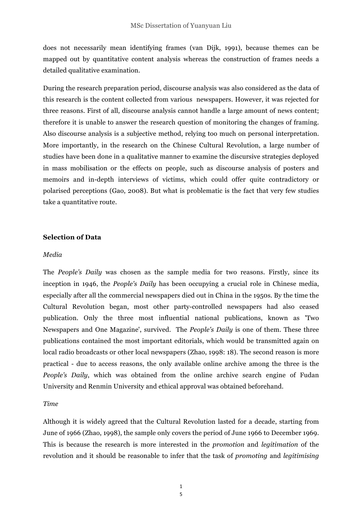does not necessarily mean identifying frames (van Dijk, 1991), because themes can be mapped out by quantitative content analysis whereas the construction of frames needs a detailed qualitative examination.

During the research preparation period, discourse analysis was also considered as the data of this research is the content collected from various newspapers. However, it was rejected for three reasons. First of all, discourse analysis cannot handle a large amount of news content; therefore it is unable to answer the research question of monitoring the changes of framing. Also discourse analysis is a subjective method, relying too much on personal interpretation. More importantly, in the research on the Chinese Cultural Revolution, a large number of studies have been done in a qualitative manner to examine the discursive strategies deployed in mass mobilisation or the effects on people, such as discourse analysis of posters and memoirs and in-depth interviews of victims, which could offer quite contradictory or polarised perceptions (Gao, 2008). But what is problematic is the fact that very few studies take a quantitative route.

#### **Selection of Data**

#### *Media*

The *People's Daily* was chosen as the sample media for two reasons. Firstly, since its inception in 1946, the *People's Daily* has been occupying a crucial role in Chinese media, especially after all the commercial newspapers died out in China in the 1950s. By the time the Cultural Revolution began, most other party-controlled newspapers had also ceased publication. Only the three most influential national publications, known as 'Two Newspapers and One Magazine', survived. The *People's Daily* is one of them. These three publications contained the most important editorials, which would be transmitted again on local radio broadcasts or other local newspapers (Zhao, 1998: 18). The second reason is more practical - due to access reasons, the only available online archive among the three is the *People's Daily*, which was obtained from the online archive search engine of Fudan University and Renmin University and ethical approval was obtained beforehand.

#### *Time*

Although it is widely agreed that the Cultural Revolution lasted for a decade, starting from June of 1966 (Zhao, 1998), the sample only covers the period of June 1966 to December 1969. This is because the research is more interested in the *promotion* and *legitimation* of the revolution and it should be reasonable to infer that the task of *promoting* and *legitimising*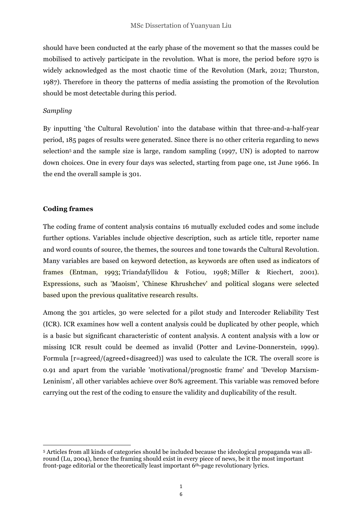should have been conducted at the early phase of the movement so that the masses could be mobilised to actively participate in the revolution. What is more, the period before 1970 is widely acknowledged as the most chaotic time of the Revolution (Mark, 2012; Thurston, 1987). Therefore in theory the patterns of media assisting the promotion of the Revolution should be most detectable during this period.

#### *Sampling*

By inputting 'the Cultural Revolution' into the database within that three-and-a-half-year period, 185 pages of results were generated. Since there is no other criteria regarding to news selection<sup>5</sup> and the sample size is large, random sampling (1997, UN) is adopted to narrow down choices. One in every four days was selected, starting from page one, 1st June 1966. In the end the overall sample is 301.

#### **Coding frames**

 

The coding frame of content analysis contains 16 mutually excluded codes and some include further options. Variables include objective description, such as article title, reporter name and word counts of source, the themes, the sources and tone towards the Cultural Revolution. Many variables are based on keyword detection, as keywords are often used as indicators of frames (Entman, 1993; Triandafyllidou & Fotiou, 1998; Miller & Riechert, 2001). Expressions, such as 'Maoism', 'Chinese Khrushchev' and political slogans were selected based upon the previous qualitative research results.

Among the 301 articles, 30 were selected for a pilot study and Intercoder Reliability Test (ICR). ICR examines how well a content analysis could be duplicated by other people, which is a basic but significant characteristic of content analysis. A content analysis with a low or missing ICR result could be deemed as invalid (Potter and Levine-Donnerstein, 1999). Formula [r=agreed/(agreed+disagreed)] was used to calculate the ICR. The overall score is 0.91 and apart from the variable 'motivational/prognostic frame' and 'Develop Marxism-Leninism', all other variables achieve over 80% agreement. This variable was removed before carrying out the rest of the coding to ensure the validity and duplicability of the result.

<sup>5</sup> Articles from all kinds of categories should be included because the ideological propaganda was allround (Lu, 2004), hence the framing should exist in every piece of news, be it the most important front-page editorial or the theoretically least important 6th-page revolutionary lyrics.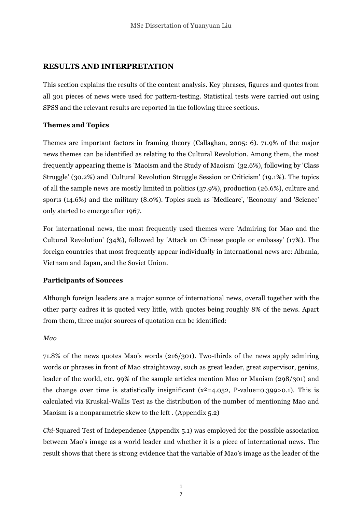# **RESULTS AND INTERPRETATION**

This section explains the results of the content analysis. Key phrases, figures and quotes from all 301 pieces of news were used for pattern-testing. Statistical tests were carried out using SPSS and the relevant results are reported in the following three sections.

# **Themes and Topics**

Themes are important factors in framing theory (Callaghan, 2005: 6). 71.9% of the major news themes can be identified as relating to the Cultural Revolution. Among them, the most frequently appearing theme is 'Maoism and the Study of Maoism' (32.6%), following by 'Class Struggle' (30.2%) and 'Cultural Revolution Struggle Session or Criticism' (19.1%). The topics of all the sample news are mostly limited in politics (37.9%), production (26.6%), culture and sports (14.6%) and the military (8.0%). Topics such as 'Medicare', 'Economy' and 'Science' only started to emerge after 1967.

For international news, the most frequently used themes were 'Admiring for Mao and the Cultural Revolution' (34%), followed by 'Attack on Chinese people or embassy' (17%). The foreign countries that most frequently appear individually in international news are: Albania, Vietnam and Japan, and the Soviet Union.

## **Participants of Sources**

Although foreign leaders are a major source of international news, overall together with the other party cadres it is quoted very little, with quotes being roughly 8% of the news. Apart from them, three major sources of quotation can be identified:

## *Mao*

71.8% of the news quotes Mao's words (216/301). Two-thirds of the news apply admiring words or phrases in front of Mao straightaway, such as great leader, great supervisor, genius, leader of the world, etc. 99% of the sample articles mention Mao or Maoism (298/301) and the change over time is statistically insignificant ( $x^2$ =4.052, P-value=0.399>0.1). This is calculated via Kruskal-Wallis Test as the distribution of the number of mentioning Mao and Maoism is a nonparametric skew to the left . (Appendix 5.2)

*Chi*-Squared Test of Independence (Appendix 5.1) was employed for the possible association between Mao's image as a world leader and whether it is a piece of international news. The result shows that there is strong evidence that the variable of Mao's image as the leader of the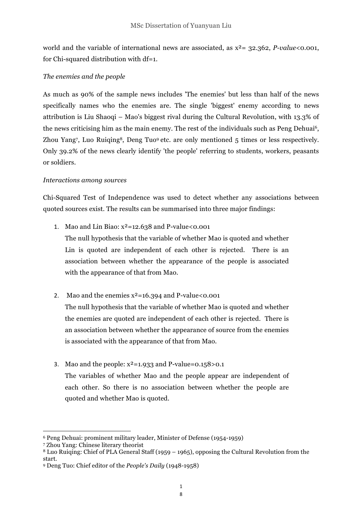world and the variable of international news are associated, as x²= 32.362, *P-value*<0.001, for Chi-squared distribution with df=1.

## *The enemies and the people*

As much as 90% of the sample news includes 'The enemies' but less than half of the news specifically names who the enemies are. The single 'biggest' enemy according to news attribution is Liu Shaoqi – Mao's biggest rival during the Cultural Revolution, with 13.3% of the news criticising him as the main enemy. The rest of the individuals such as Peng Dehuai<sup>6</sup>, Zhou Yang7, Luo Ruiqing<sup>8</sup>, Deng Tuo<sup>9</sup> etc. are only mentioned 5 times or less respectively. Only 39.2% of the news clearly identify 'the people' referring to students, workers, peasants or soldiers.

## *Interactions among sources*

Chi-Squared Test of Independence was used to detect whether any associations between quoted sources exist. The results can be summarised into three major findings:

1. Mao and Lin Biao:  $x^2$ =12.638 and P-value<0.001

The null hypothesis that the variable of whether Mao is quoted and whether Lin is quoted are independent of each other is rejected. There is an association between whether the appearance of the people is associated with the appearance of that from Mao.

2. Mao and the enemies  $x^2$ =16.394 and P-value<0.001

The null hypothesis that the variable of whether Mao is quoted and whether the enemies are quoted are independent of each other is rejected. There is an association between whether the appearance of source from the enemies is associated with the appearance of that from Mao.

3. Mao and the people:  $x^2$ =1.933 and P-value=0.158>0.1

The variables of whether Mao and the people appear are independent of each other. So there is no association between whether the people are quoted and whether Mao is quoted.

<u> 1989 - Johann Stein, marwolaethau a bh</u>

<sup>6</sup> Peng Dehuai: prominent military leader, Minister of Defense (1954-1959)

<sup>7</sup> Zhou Yang: Chinese literary theorist

<sup>8</sup> Luo Ruiqing: Chief of PLA General Staff (1959 – 1965), opposing the Cultural Revolution from the start.

<sup>9</sup> Deng Tuo: Chief editor of the *People's Daily* (1948-1958)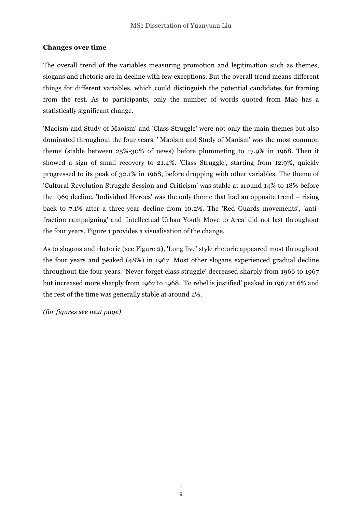## **Changes over time**

The overall trend of the variables measuring promotion and legitimation such as themes, slogans and rhetoric are in decline with few exceptions. But the overall trend means different things for different variables, which could distinguish the potential candidates for framing from the rest. As to participants, only the number of words quoted from Mao has a statistically significant change.

'Maoism and Study of Maoism' and 'Class Struggle' were not only the main themes but also dominated throughout the four years. ' Maoism and Study of Maoism' was the most common theme (stable between 25%-30% of news) before plummeting to 17.9% in 1968. Then it showed a sign of small recovery to 21.4%. 'Class Struggle', starting from 12.9%, quickly progressed to its peak of 32.1% in 1968, before dropping with other variables. The theme of 'Cultural Revolution Struggle Session and Criticism' was stable at around 14% to 18% before the 1969 decline. 'Individual Heroes' was the only theme that had an opposite trend – rising back to 7.1% after a three-year decline from 10.2%. The 'Red Guards movements', 'antifraction campaigning' and 'Intellectual Urban Youth Move to Area' did not last throughout the four years. Figure 1 provides a visualisation of the change.

As to slogans and rhetoric (see Figure 2), 'Long live' style rhetoric appeared most throughout the four years and peaked (48%) in 1967. Most other slogans experienced gradual decline throughout the four years. 'Never forget class struggle' decreased sharply from 1966 to 1967 but increased more sharply from 1967 to 1968. 'To rebel is justified' peaked in 1967 at 6% and the rest of the time was generally stable at around 2%.

*(for figures see next page)*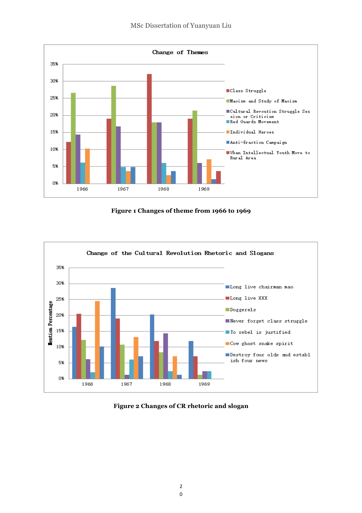

**Figure 1 Changes of theme from 1966 to 1969**



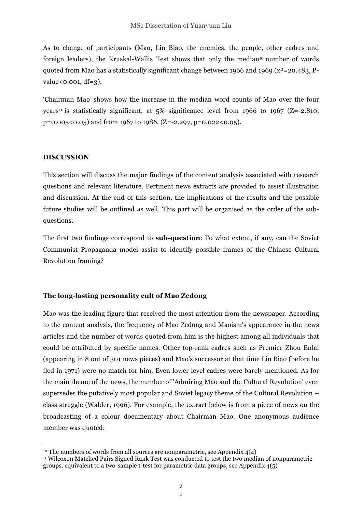As to change of participants (Mao, Lin Biao, the enemies, the people, other cadres and foreign leaders), the Kruskal-Wallis Test shows that only the median<sup>10</sup> number of words quoted from Mao has a statistically significant change between 1966 and 1969 ( $x^2$ =20.483, P $value < 0.001, df = 3$ .

'Chairman Mao' shows how the increase in the median word counts of Mao over the four years<sup>11</sup> is statistically significant, at  $5\%$  significance level from 1966 to 1967 (Z=-2.810,  $p=0.005(0.05)$  and from 1967 to 1986. (Z=-2.297, p=0.022 $(0.05)$ ).

#### **DISCUSSION**

This section will discuss the major findings of the content analysis associated with research questions and relevant literature. Pertinent news extracts are provided to assist illustration and discussion. At the end of this section, the implications of the results and the possible future studies will be outlined as well. This part will be organised as the order of the subquestions.

The first two findings correspond to **sub-question**: To what extent, if any, can the Soviet Communist Propaganda model assist to identify possible frames of the Chinese Cultural Revolution framing?

## **The long-lasting personality cult of Mao Zedong**

Mao was the leading figure that received the most attention from the newspaper. According to the content analysis, the frequency of Mao Zedong and Maoism's appearance in the news articles and the number of words quoted from him is the highest among all individuals that could be attributed by specific names. Other top-rank cadres such as Premier Zhou Enlai (appearing in 8 out of 301 news pieces) and Mao's successor at that time Lin Biao (before he fled in 1971) were no match for him. Even lower level cadres were barely mentioned. As for the main theme of the news, the number of 'Admiring Mao and the Cultural Revolution' even supersedes the putatively most popular and Soviet legacy theme of the Cultural Revolution – class struggle (Walder, 1996). For example, the extract below is from a piece of news on the broadcasting of a colour documentary about Chairman Mao. One anonymous audience member was quoted:

 

<sup>&</sup>lt;sup>10</sup> The numbers of words from all sources are nonparametric, see Appendix  $4(4)$ 

<sup>11</sup> Wilcoxon Matched Pairs Signed Rank Test was conducted to test the two median of nonparametric groups, equivalent to a two-sample t-test for parametric data groups, see Appendix 4(5)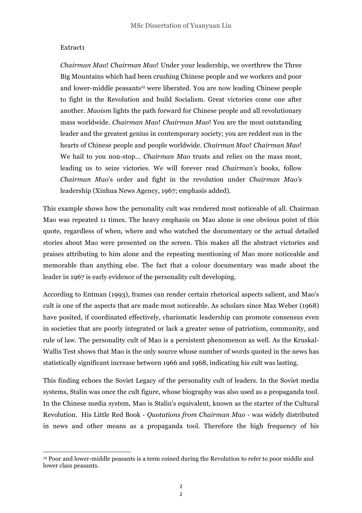#### Extract1

*Chairman Mao*! *Chairman Mao*! Under your leadership, we overthrew the Three Big Mountains which had been crushing Chinese people and we workers and poor and lower-middle peasants<sup>12</sup> were liberated. You are now leading Chinese people to fight in the Revolution and build Socialism. Great victories come one after another. *Maoism* lights the path forward for Chinese people and all revolutionary mass worldwide. *Chairman Mao*! *Chairman Mao*! You are the most outstanding leader and the greatest genius in contemporary society; you are reddest sun in the hearts of Chinese people and people worldwide. *Chairman Mao*! *Chairman Mao*! We hail to you non-stop… *Chairman Mao* trusts and relies on the mass most, leading us to seize victories. We will forever read *Chairman's* books, follow *Chairman Mao*'s order and fight in the revolution under *Chairman Mao's* leadership (Xinhua News Agency, 1967; emphasis added).

This example shows how the personality cult was rendered most noticeable of all. Chairman Mao was repeated 11 times. The heavy emphasis on Mao alone is one obvious point of this quote, regardless of when, where and who watched the documentary or the actual detailed stories about Mao were presented on the screen. This makes all the abstract victories and praises attributing to him alone and the repeating mentioning of Mao more noticeable and memorable than anything else. The fact that a colour documentary was made about the leader in 1967 is early evidence of the personality cult developing.

According to Entman (1993), frames can render certain rhetorical aspects salient, and Mao's cult is one of the aspects that are made most noticeable. As scholars since Max Weber (1968) have posited, if coordinated effectively, charismatic leadership can promote consensus even in societies that are poorly integrated or lack a greater sense of patriotism, community, and rule of law. The personality cult of Mao is a persistent phenomenon as well. As the Kruskal-Wallis Test shows that Mao is the only source whose number of words quoted in the news has statistically significant increase between 1966 and 1968, indicating his cult was lasting.

This finding echoes the Soviet Legacy of the personality cult of leaders. In the Soviet media systems, Stalin was once the cult figure, whose biography was also used as a propaganda tool. In the Chinese media system, Mao is Stalin's equivalent, known as the starter of the Cultural Revolution. His Little Red Book - *Quotations from Chairman Mao -* was widely distributed in news and other means as a propaganda tool. Therefore the high frequency of his

 

<sup>&</sup>lt;sup>12</sup> Poor and lower-middle peasants is a term coined during the Revolution to refer to poor middle and lower class peasants.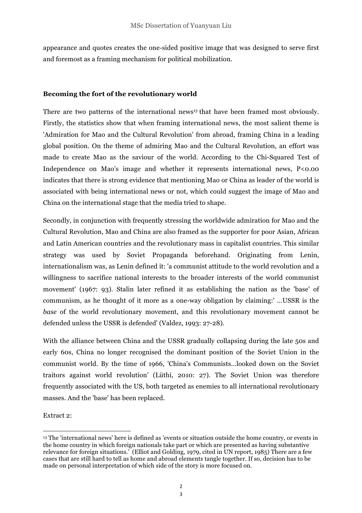appearance and quotes creates the one-sided positive image that was designed to serve first and foremost as a framing mechanism for political mobilization.

## **Becoming the fort of the revolutionary world**

There are two patterns of the international news<sup>13</sup> that have been framed most obviously. Firstly, the statistics show that when framing international news, the most salient theme is 'Admiration for Mao and the Cultural Revolution' from abroad, framing China in a leading global position. On the theme of admiring Mao and the Cultural Revolution, an effort was made to create Mao as the saviour of the world. According to the Chi-Squared Test of Independence on Mao's image and whether it represents international news, P<0.00 indicates that there is strong evidence that mentioning Mao or China as leader of the world is associated with being international news or not, which could suggest the image of Mao and China on the international stage that the media tried to shape.

Secondly, in conjunction with frequently stressing the worldwide admiration for Mao and the Cultural Revolution, Mao and China are also framed as the supporter for poor Asian, African and Latin American countries and the revolutionary mass in capitalist countries. This similar strategy was used by Soviet Propaganda beforehand. Originating from Lenin, internationalism was, as Lenin defined it: 'a communist attitude to the world revolution and a willingness to sacrifice national interests to the broader interests of the world communist movement' (1967: 93). Stalin later refined it as establishing the nation as the 'base' of communism, as he thought of it more as a one-way obligation by claiming:' …USSR is the *base* of the world revolutionary movement, and this revolutionary movement cannot be defended unless the USSR is defended' (Valdez, 1993: 27-28).

With the alliance between China and the USSR gradually collapsing during the late 50s and early 60s, China no longer recognised the dominant position of the Soviet Union in the communist world. By the time of 1966, 'China's Communists…looked down on the Soviet traitors against world revolution' (Lüthi, 2010: 27). The Soviet Union was therefore frequently associated with the US, both targeted as enemies to all international revolutionary masses. And the 'base' has been replaced.

Extract 2:

<u> 1989 - Johann Stein, marwolaethau a bh</u>

<sup>13</sup> The 'international news' here is defined as 'events or situation outside the home country, or events in the home country in which foreign nationals take part or which are presented as having substantive relevance for foreign situations.' (Elliot and Golding, 1979, cited in UN report, 1985) There are a few cases that are still hard to tell as home and abroad elements tangle together. If so, decision has to be made on personal interpretation of which side of the story is more focused on.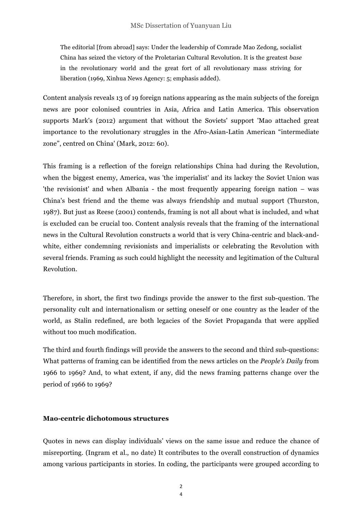The editorial [from abroad] says: Under the leadership of Comrade Mao Zedong, socialist China has seized the victory of the Proletarian Cultural Revolution. It is the greatest *base* in the revolutionary world and the great fort of all revolutionary mass striving for liberation (1969, Xinhua News Agency: 5; emphasis added).

Content analysis reveals 13 of 19 foreign nations appearing as the main subjects of the foreign news are poor colonised countries in Asia, Africa and Latin America. This observation supports Mark's (2012) argument that without the Soviets' support 'Mao attached great importance to the revolutionary struggles in the Afro-Asian-Latin American "intermediate zone", centred on China' (Mark, 2012: 60).

This framing is a reflection of the foreign relationships China had during the Revolution, when the biggest enemy, America, was 'the imperialist' and its lackey the Soviet Union was 'the revisionist' and when Albania - the most frequently appearing foreign nation – was China's best friend and the theme was always friendship and mutual support (Thurston, 1987). But just as Reese (2001) contends, framing is not all about what is included, and what is excluded can be crucial too. Content analysis reveals that the framing of the international news in the Cultural Revolution constructs a world that is very China-centric and black-andwhite, either condemning revisionists and imperialists or celebrating the Revolution with several friends. Framing as such could highlight the necessity and legitimation of the Cultural Revolution.

Therefore, in short, the first two findings provide the answer to the first sub-question. The personality cult and internationalism or setting oneself or one country as the leader of the world, as Stalin redefined, are both legacies of the Soviet Propaganda that were applied without too much modification.

The third and fourth findings will provide the answers to the second and third sub-questions: What patterns of framing can be identified from the news articles on the *People's Daily* from 1966 to 1969? And, to what extent, if any, did the news framing patterns change over the period of 1966 to 1969?

## **Mao-centric dichotomous structures**

Quotes in news can display individuals' views on the same issue and reduce the chance of misreporting. (Ingram et al., no date) It contributes to the overall construction of dynamics among various participants in stories. In coding, the participants were grouped according to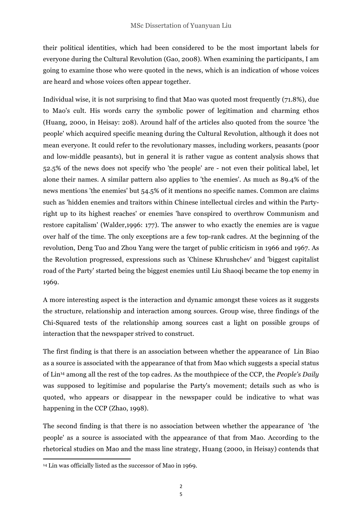their political identities, which had been considered to be the most important labels for everyone during the Cultural Revolution (Gao, 2008). When examining the participants, I am going to examine those who were quoted in the news, which is an indication of whose voices are heard and whose voices often appear together.

Individual wise, it is not surprising to find that Mao was quoted most frequently (71.8%), due to Mao's cult. His words carry the symbolic power of legitimation and charming ethos (Huang, 2000, in Heisay: 208). Around half of the articles also quoted from the source 'the people' which acquired specific meaning during the Cultural Revolution, although it does not mean everyone. It could refer to the revolutionary masses, including workers, peasants (poor and low-middle peasants), but in general it is rather vague as content analysis shows that 52.5% of the news does not specify who 'the people' are - not even their political label, let alone their names. A similar pattern also applies to 'the enemies'. As much as 89.4% of the news mentions 'the enemies' but 54.5% of it mentions no specific names. Common are claims such as 'hidden enemies and traitors within Chinese intellectual circles and within the Partyright up to its highest reaches' or enemies 'have conspired to overthrow Communism and restore capitalism' (Walder,1996: 177). The answer to who exactly the enemies are is vague over half of the time. The only exceptions are a few top-rank cadres. At the beginning of the revolution, Deng Tuo and Zhou Yang were the target of public criticism in 1966 and 1967. As the Revolution progressed, expressions such as 'Chinese Khrushchev' and 'biggest capitalist road of the Party' started being the biggest enemies until Liu Shaoqi became the top enemy in 1969.

A more interesting aspect is the interaction and dynamic amongst these voices as it suggests the structure, relationship and interaction among sources. Group wise, three findings of the Chi-Squared tests of the relationship among sources cast a light on possible groups of interaction that the newspaper strived to construct.

The first finding is that there is an association between whether the appearance of Lin Biao as a source is associated with the appearance of that from Mao which suggests a special status of Lin14 among all the rest of the top cadres. As the mouthpiece of the CCP, the *People's Daily* was supposed to legitimise and popularise the Party's movement; details such as who is quoted, who appears or disappear in the newspaper could be indicative to what was happening in the CCP (Zhao, 1998).

The second finding is that there is no association between whether the appearance of 'the people' as a source is associated with the appearance of that from Mao. According to the rhetorical studies on Mao and the mass line strategy, Huang (2000, in Heisay) contends that

<u> 1989 - Johann Stein, fransk politik (d. 1989)</u>

<sup>14</sup> Lin was officially listed as the successor of Mao in 1969.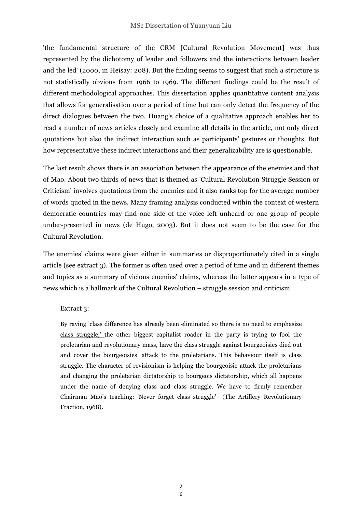'the fundamental structure of the CRM [Cultural Revolution Movement] was thus represented by the dichotomy of leader and followers and the interactions between leader and the led' (2000, in Heisay: 208). But the finding seems to suggest that such a structure is not statistically obvious from 1966 to 1969. The different findings could be the result of different methodological approaches. This dissertation applies quantitative content analysis that allows for generalisation over a period of time but can only detect the frequency of the direct dialogues between the two. Huang's choice of a qualitative approach enables her to read a number of news articles closely and examine all details in the article, not only direct quotations but also the indirect interaction such as participants' gestures or thoughts. But how representative these indirect interactions and their generalizability are is questionable.

The last result shows there is an association between the appearance of the enemies and that of Mao. About two thirds of news that is themed as 'Cultural Revolution Struggle Session or Criticism' involves quotations from the enemies and it also ranks top for the average number of words quoted in the news. Many framing analysis conducted within the context of western democratic countries may find one side of the voice left unheard or one group of people under-presented in news (de Hugo, 2003). But it does not seem to be the case for the Cultural Revolution.

The enemies' claims were given either in summaries or disproportionately cited in a single article (see extract 3). The former is often used over a period of time and in different themes and topics as a summary of vicious enemies' claims, whereas the latter appears in a type of news which is a hallmark of the Cultural Revolution – struggle session and criticism.

## Extract 3:

By raving 'class difference has already been eliminated so there is no need to emphasize class struggle,' the other biggest capitalist roader in the party is trying to fool the proletarian and revolutionary mass, have the class struggle against bourgeoisies died out and cover the bourgeoisies' attack to the proletarians. This behaviour itself is class struggle. The character of revisionism is helping the bourgeoisie attack the proletarians and changing the proletarian dictatorship to bourgeois dictatorship, which all happens under the name of denying class and class struggle. We have to firmly remember Chairman Mao's teaching: 'Never forget class struggle' (The Artillery Revolutionary Fraction, 1968).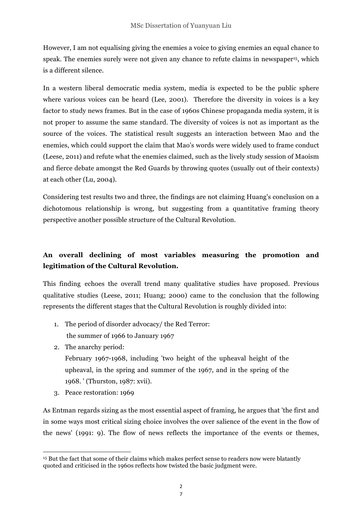However, I am not equalising giving the enemies a voice to giving enemies an equal chance to speak. The enemies surely were not given any chance to refute claims in newspaper<sup>15</sup>, which is a different silence.

In a western liberal democratic media system, media is expected to be the public sphere where various voices can be heard (Lee, 2001). Therefore the diversity in voices is a key factor to study news frames. But in the case of 1960s Chinese propaganda media system, it is not proper to assume the same standard. The diversity of voices is not as important as the source of the voices. The statistical result suggests an interaction between Mao and the enemies, which could support the claim that Mao's words were widely used to frame conduct (Leese, 2011) and refute what the enemies claimed, such as the lively study session of Maoism and fierce debate amongst the Red Guards by throwing quotes (usually out of their contexts) at each other (Lu, 2004).

Considering test results two and three, the findings are not claiming Huang's conclusion on a dichotomous relationship is wrong, but suggesting from a quantitative framing theory perspective another possible structure of the Cultural Revolution.

# **An overall declining of most variables measuring the promotion and legitimation of the Cultural Revolution.**

This finding echoes the overall trend many qualitative studies have proposed. Previous qualitative studies (Leese, 2011; Huang; 2000) came to the conclusion that the following represents the different stages that the Cultural Revolution is roughly divided into:

- 1. The period of disorder advocacy/ the Red Terror: the summer of 1966 to January 1967
- 2. The anarchy period:

February 1967-1968, including 'two height of the upheaval height of the upheaval, in the spring and summer of the 1967, and in the spring of the 1968. ' (Thurston, 1987: xvii).

3. Peace restoration: 1969

 

As Entman regards sizing as the most essential aspect of framing, he argues that 'the first and in some ways most critical sizing choice involves the over salience of the event in the flow of the news' (1991: 9). The flow of news reflects the importance of the events or themes,

<sup>15</sup> But the fact that some of their claims which makes perfect sense to readers now were blatantly quoted and criticised in the 1960s reflects how twisted the basic judgment were.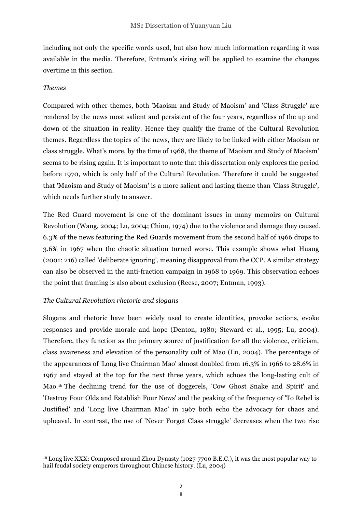including not only the specific words used, but also how much information regarding it was available in the media. Therefore, Entman's sizing will be applied to examine the changes overtime in this section.

## *Themes*

Compared with other themes, both 'Maoism and Study of Maoism' and 'Class Struggle' are rendered by the news most salient and persistent of the four years, regardless of the up and down of the situation in reality. Hence they qualify the frame of the Cultural Revolution themes. Regardless the topics of the news, they are likely to be linked with either Maoism or class struggle. What's more, by the time of 1968, the theme of 'Maoism and Study of Maoism' seems to be rising again. It is important to note that this dissertation only explores the period before 1970, which is only half of the Cultural Revolution. Therefore it could be suggested that 'Maoism and Study of Maoism' is a more salient and lasting theme than 'Class Struggle', which needs further study to answer.

The Red Guard movement is one of the dominant issues in many memoirs on Cultural Revolution (Wang, 2004; Lu, 2004; Chiou, 1974) due to the violence and damage they caused. 6.3% of the news featuring the Red Guards movement from the second half of 1966 drops to 3.6% in 1967 when the chaotic situation turned worse. This example shows what Huang (2001: 216) called 'deliberate ignoring', meaning disapproval from the CCP. A similar strategy can also be observed in the anti-fraction campaign in 1968 to 1969. This observation echoes the point that framing is also about exclusion (Reese, 2007; Entman, 1993).

## *The Cultural Revolution rhetoric and slogans*

 

Slogans and rhetoric have been widely used to create identities, provoke actions, evoke responses and provide morale and hope (Denton, 1980; Steward et al., 1995; Lu, 2004). Therefore, they function as the primary source of justification for all the violence, criticism, class awareness and elevation of the personality cult of Mao (Lu, 2004). The percentage of the appearances of 'Long live Chairman Mao' almost doubled from 16.3% in 1966 to 28.6% in 1967 and stayed at the top for the next three years, which echoes the long-lasting cult of Mao.16 The declining trend for the use of doggerels, 'Cow Ghost Snake and Spirit' and 'Destroy Four Olds and Establish Four News' and the peaking of the frequency of 'To Rebel is Justified' and 'Long live Chairman Mao' in 1967 both echo the advocacy for chaos and upheaval. In contrast, the use of 'Never Forget Class struggle' decreases when the two rise

<sup>16</sup> Long live XXX: Composed around Zhou Dynasty (1027-7700 B.E.C.), it was the most popular way to hail feudal society emperors throughout Chinese history. (Lu, 2004)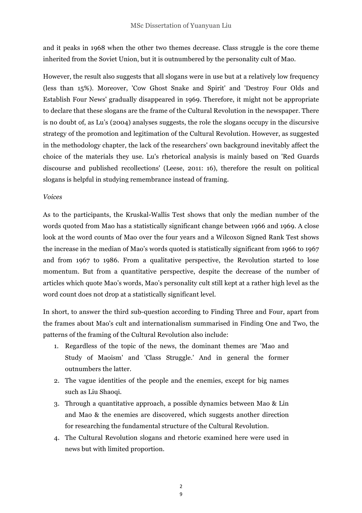and it peaks in 1968 when the other two themes decrease. Class struggle is the core theme inherited from the Soviet Union, but it is outnumbered by the personality cult of Mao.

However, the result also suggests that all slogans were in use but at a relatively low frequency (less than 15%). Moreover, 'Cow Ghost Snake and Spirit' and 'Destroy Four Olds and Establish Four News' gradually disappeared in 1969. Therefore, it might not be appropriate to declare that these slogans are the frame of the Cultural Revolution in the newspaper. There is no doubt of, as Lu's (2004) analyses suggests, the role the slogans occupy in the discursive strategy of the promotion and legitimation of the Cultural Revolution. However, as suggested in the methodology chapter, the lack of the researchers' own background inevitably affect the choice of the materials they use. Lu's rhetorical analysis is mainly based on 'Red Guards discourse and published recollections' (Leese, 2011: 16), therefore the result on political slogans is helpful in studying remembrance instead of framing.

#### *Voices*

As to the participants, the Kruskal-Wallis Test shows that only the median number of the words quoted from Mao has a statistically significant change between 1966 and 1969. A close look at the word counts of Mao over the four years and a Wilcoxon Signed Rank Test shows the increase in the median of Mao's words quoted is statistically significant from 1966 to 1967 and from 1967 to 1986. From a qualitative perspective, the Revolution started to lose momentum. But from a quantitative perspective, despite the decrease of the number of articles which quote Mao's words, Mao's personality cult still kept at a rather high level as the word count does not drop at a statistically significant level.

In short, to answer the third sub-question according to Finding Three and Four, apart from the frames about Mao's cult and internationalism summarised in Finding One and Two, the patterns of the framing of the Cultural Revolution also include:

- 1. Regardless of the topic of the news, the dominant themes are 'Mao and Study of Maoism' and 'Class Struggle.' And in general the former outnumbers the latter.
- 2. The vague identities of the people and the enemies, except for big names such as Liu Shaoqi.
- 3. Through a quantitative approach, a possible dynamics between Mao & Lin and Mao & the enemies are discovered, which suggests another direction for researching the fundamental structure of the Cultural Revolution.
- 4. The Cultural Revolution slogans and rhetoric examined here were used in news but with limited proportion.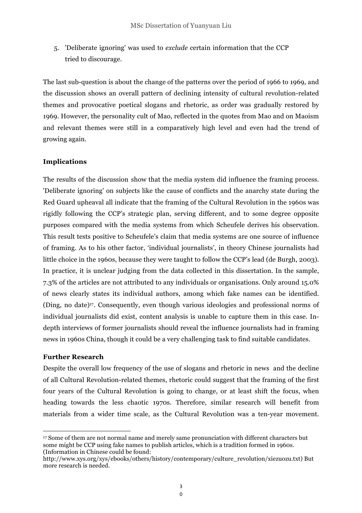5. 'Deliberate ignoring' was used to *exclude* certain information that the CCP tried to discourage.

The last sub-question is about the change of the patterns over the period of 1966 to 1969, and the discussion shows an overall pattern of declining intensity of cultural revolution-related themes and provocative poetical slogans and rhetoric, as order was gradually restored by 1969. However, the personality cult of Mao, reflected in the quotes from Mao and on Maoism and relevant themes were still in a comparatively high level and even had the trend of growing again.

## **Implications**

The results of the discussion show that the media system did influence the framing process. 'Deliberate ignoring' on subjects like the cause of conflicts and the anarchy state during the Red Guard upheaval all indicate that the framing of the Cultural Revolution in the 1960s was rigidly following the CCP's strategic plan, serving different, and to some degree opposite purposes compared with the media systems from which Scheufele derives his observation. This result tests positive to Scheufele's claim that media systems are one source of influence of framing. As to his other factor, 'individual journalists', in theory Chinese journalists had little choice in the 1960s, because they were taught to follow the CCP's lead (de Burgh, 2003). In practice, it is unclear judging from the data collected in this dissertation. In the sample, 7.3% of the articles are not attributed to any individuals or organisations. Only around 15.0% of news clearly states its individual authors, among which fake names can be identified. (Ding, no date)17. Consequently, even though various ideologies and professional norms of individual journalists did exist, content analysis is unable to capture them in this case. Indepth interviews of former journalists should reveal the influence journalists had in framing news in 1960s China, though it could be a very challenging task to find suitable candidates.

## **Further Research**

<u> 1989 - Johann Stein, fransk politik (d. 1989)</u>

Despite the overall low frequency of the use of slogans and rhetoric in news and the decline of all Cultural Revolution-related themes, rhetoric could suggest that the framing of the first four years of the Cultural Revolution is going to change, or at least shift the focus, when heading towards the less chaotic 1970s. Therefore, similar research will benefit from materials from a wider time scale, as the Cultural Revolution was a ten-year movement.

<sup>17</sup> Some of them are not normal name and merely same pronunciation with different characters but some might be CCP using fake names to publish articles, which is a tradition formed in 1960s. (Information in Chinese could be found:

http://www.xys.org/xys/ebooks/others/history/contemporary/culture\_revolution/xiezuozu.txt) But more research is needed.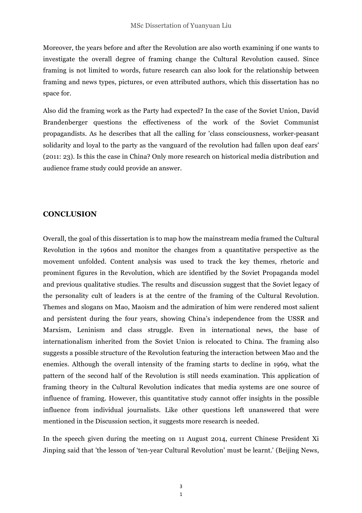Moreover, the years before and after the Revolution are also worth examining if one wants to investigate the overall degree of framing change the Cultural Revolution caused. Since framing is not limited to words, future research can also look for the relationship between framing and news types, pictures, or even attributed authors, which this dissertation has no space for.

Also did the framing work as the Party had expected? In the case of the Soviet Union, David Brandenberger questions the effectiveness of the work of the Soviet Communist propagandists. As he describes that all the calling for 'class consciousness, worker-peasant solidarity and loyal to the party as the vanguard of the revolution had fallen upon deaf ears' (2011: 23). Is this the case in China? Only more research on historical media distribution and audience frame study could provide an answer.

#### **CONCLUSION**

Overall, the goal of this dissertation is to map how the mainstream media framed the Cultural Revolution in the 1960s and monitor the changes from a quantitative perspective as the movement unfolded. Content analysis was used to track the key themes, rhetoric and prominent figures in the Revolution, which are identified by the Soviet Propaganda model and previous qualitative studies. The results and discussion suggest that the Soviet legacy of the personality cult of leaders is at the centre of the framing of the Cultural Revolution. Themes and slogans on Mao, Maoism and the admiration of him were rendered most salient and persistent during the four years, showing China's independence from the USSR and Marxism, Leninism and class struggle. Even in international news, the base of internationalism inherited from the Soviet Union is relocated to China. The framing also suggests a possible structure of the Revolution featuring the interaction between Mao and the enemies. Although the overall intensity of the framing starts to decline in 1969, what the pattern of the second half of the Revolution is still needs examination. This application of framing theory in the Cultural Revolution indicates that media systems are one source of influence of framing. However, this quantitative study cannot offer insights in the possible influence from individual journalists. Like other questions left unanswered that were mentioned in the Discussion section, it suggests more research is needed.

In the speech given during the meeting on 11 August 2014, current Chinese President Xi Jinping said that 'the lesson of 'ten-year Cultural Revolution' must be learnt.' (Beijing News,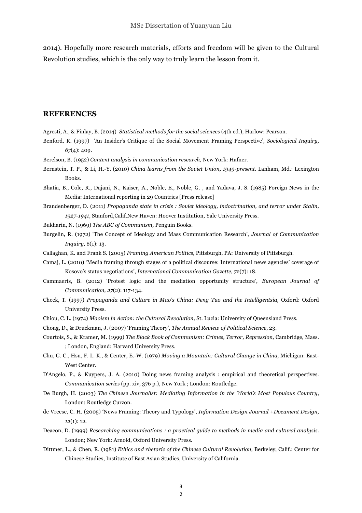2014). Hopefully more research materials, efforts and freedom will be given to the Cultural Revolution studies, which is the only way to truly learn the lesson from it.

#### **REFERENCES**

- Agresti, A., & Finlay, B. (2014) *Statistical methods for the social sciences* (4th ed.), Harlow: Pearson.
- Benford, R. (1997) 'An Insider's Critique of the Social Movement Framing Perspective', *Sociological Inquiry, 67*(4): 409.
- Berelson, B. (1952) *Content analysis in communication research,* New York: Hafner.
- Bernstein, T. P., & Li, H.-Y. (2010) *China learns from the Soviet Union, 1949-present*. Lanham, Md.: Lexington Books.
- Bhatia, B., Cole, R., Dajani, N., Kaiser, A., Noble, E., Noble, G. , and Yadava, J. S. (1985) Foreign News in the Media: International reporting in 29 Countries [Press release]
- Brandenberger, D. (2011) *Propaganda state in crisis : Soviet ideology, indoctrination, and terror under Stalin, 1927-1941,* Stanford,Calif.New Haven: Hoover Institution, Yale University Press.
- Bukharin, N. (1969) *The ABC of Communism,* Penguin Books.
- Burgelin, R. (1972) 'The Concept of Ideology and Mass Communication Research', *Journal of Communication Inquiry, 6*(1): 13.
- Callaghan, K. and Frank S. (2005) *Framing American Politics,* Pittsburgh, PA: University of Pittsburgh.
- Camaj, L. (2010) 'Media framing through stages of a political discourse: International news agencies' coverage of Kosovo's status negotiations', *International Communication Gazette, 72*(7): 18.
- Cammaerts, B. (2012) 'Protest logic and the mediation opportunity structure', *European Journal of Communication, 27*(2): 117-134.
- Cheek, T. (1997) *Propaganda and Culture in Mao's China: Deng Tuo and the Intelligentsia,* Oxford: Oxford University Press.
- Chiou, C. L. (1974) *Maoism in Action: the Cultural Revolution,* St. Lucia: University of Queensland Press.
- Chong, D., & Druckman, J. (2007) 'Framing Theory', *The Annual Review of Political Science*, 23.
- Courtois, S., & Kramer, M. (1999) *The Black Book of Communism: Crimes, Terror, Repression,* Cambridge, Mass. ; London, England: Harvard University Press.
- Chu, G. C., Hsu, F. L. K., & Center, E.-W. (1979) *Moving a Mountain: Cultural Change in China,* Michigan: East-West Center.
- D'Angelo, P., & Kuypers, J. A. (2010) Doing news framing analysis : empirical and theoretical perspectives. *Communication series* (pp. xiv, 376 p.), New York ; London: Routledge.
- De Burgh, H. (2003) *The Chinese Journalist: Mediating Information in the World's Most Populous Country*, London: Routledge Curzon.
- de Vreese, C. H. (2005) 'News Framing: Theory and Typology', *Information Design Journal +Document Design, 12*(1): 12.
- Deacon, D. (1999) *Researching communications : a practical guide to methods in media and cultural analysis*. London; New York: Arnold, Oxford University Press.
- Dittmer, L., & Chen, R. (1981) *Ethics and rhetoric of the Chinese Cultural Revolution,* Berkeley, Calif.: Center for Chinese Studies, Institute of East Asian Studies, University of California.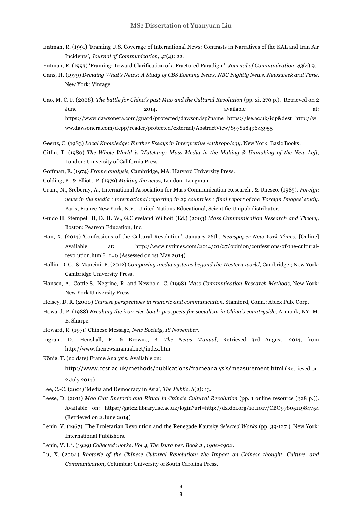- Entman, R. (1991) 'Framing U.S. Coverage of International News: Contrasts in Narratives of the KAL and Iran Air Incidents', *Journal of Communication, 41*(4): 22.
- Entman, R. (1993) 'Framing: Toward Clarification of a Fractured Paradigm', *Journal of Communication, 43*(4) 9.
- Gans, H. (1979) *Deciding What's News: A Study of CBS Evening News, NBC Nightly News, Newsweek and Time*, New York: Vintage.

Gao, M. C. F. (2008). *The battle for China's past Mao and the Cultural Revolution* (pp. xi, 270 p.). Retrieved on 2 June 2014, 2014, available at: https://www.dawsonera.com/guard/protected/dawson.jsp?name=https://lse.ac.uk/idp&dest=http://w ww.dawsonera.com/depp/reader/protected/external/AbstractView/S9781849643955

- Geertz, C. (1983) *Local Knowledge: Further Essays in Interpretive Anthropology,* New York: Basic Books.
- Gitlin, T. (1980) *The Whole World is Watching: Mass Media in the Making & Unmaking of the New Left,*  London: University of California Press.
- Goffman, E. (1974) *Frame analysis,* Cambridge, MA: Harvard University Press.
- Golding, P., & Elliott, P. (1979) *Making the news,* London: Longman.
- Grant, N., Sreberny, A., International Association for Mass Communication Research., & Unesco. (1985). *Foreign news in the media : international reporting in 29 countries : final report of the 'Foreign Images' study*. Paris, France New York, N.Y.: United Nations Educational, Scientific Unipub distributor.
- Guido H. Stempel III, D. H. W., G.Cleveland Wilhoit (Ed.) (2003) *Mass Communication Research and Theory,* Boston: Pearson Education, Inc.
- Han, X. (2014) 'Confessions of the Cultural Revolution', January 26th*. Newspaper New York Times*, [Online] Available at: http://www.nytimes.com/2014/01/27/opinion/confessions-of-the-culturalrevolution.html?  $r=0$  (Assessed on 1st May 2014)
- Hallin, D. C., & Mancini, P. (2012) *Comparing media systems beyond the Western world,* Cambridge ; New York: Cambridge University Press.
- Hansen, A., Cottle,S., Negrine, R. and Newbold, C. (1998) *Mass Communication Research Methods,* New York: New York University Press.
- Heisey, D. R. (2000) *Chinese perspectives in rhetoric and communication,* Stamford, Conn.: Ablex Pub. Corp.
- Howard, P. (1988) *Breaking the iron rice bowl: prospects for socialism in China's countryside,* Armonk, NY: M. E. Sharpe.
- Howard, R. (1971) Chinese Message, *New Society, 18 November*.
- Ingram, D., Henshall, P., & Browne, B. *The News Manual,* Retrieved 3rd August, 2014, from http://www.thenewsmanual.net/index.htm
- König, T. (no date) Frame Analysis. Available on:

http://www.ccsr.ac.uk/methods/publications/frameanalysis/measurement.html (Retrieved on 2 July 2014)

- Lee, C.-C. (2001) 'Media and Democracy in Asia', *The Public, 8*(2): 13.
- Leese, D. (2011) *Mao Cult Rhetoric and Ritual in China's Cultural Revolution* (pp. 1 online resource (328 p.)). Available on: https://gate2.library.lse.ac.uk/login?url=http://dx.doi.org/10.1017/CBO9780511984754 (Retrieved on 2 June 2014)
- Lenin, V. (1967) The Proletarian Revolution and the Renegade Kautsky *Selected Works* (pp. 39-127 ). New York: International Publishers.
- Lenin, V. I. i. (1929) *Collected works. Vol.4, The Iskra per. Book 2 , 1900-1902*.
- Lu, X. (2004) *Rhetoric of the Chinese Cultural Revolution: the Impact on Chinese thought, Culture, and Communication,* Columbia: University of South Carolina Press.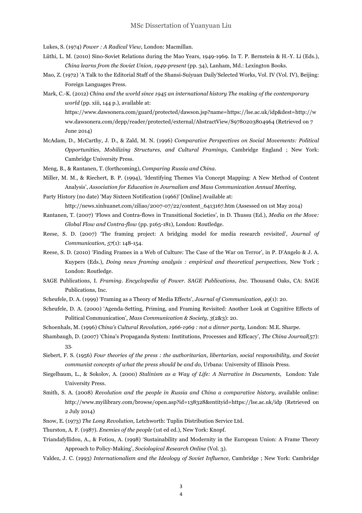Lukes, S. (1974) *Power : A Radical View,* London: Macmillan.

- Lüthi, L. M. (2010) Sino-Soviet Relations during the Mao Years, 1949-1969. In T. P. Bernstein & H.-Y. Li (Eds.), *China learns from the Soviet Union, 1949-present* (pp. 34), Lanham, Md.: Lexington Books.
- Mao, Z. (1972) 'A Talk to the Editorial Staff of the Shansi-Suiyuan Daily'Selected Works, Vol. IV (Vol. IV), Beijing: Foreign Languages Press.
- Mark, C.-K. (2012) *China and the world since 1945 an international history The making of the contemporary world* (pp. xiii, 144 p.), available at:

https://www.dawsonera.com/guard/protected/dawson.jsp?name=https://lse.ac.uk/idp&dest=http://w ww.dawsonera.com/depp/reader/protected/external/AbstractView/S9780203804964 (Retrieved on 7 June 2014)

- McAdam, D., McCarthy, J. D., & Zald, M. N. (1996) *Comparative Perspectives on Social Movements: Political Opportunities, Mobilizing Structures, and Cultural Framings,* Cambridge England ; New York: Cambridge University Press.
- Meng, B., & Rantanen, T. (forthcoming), *Comparing Russia and China*.
- Miller, M. M., & Riechert, B. P. (1994), 'Identifying Themes Via Concept Mapping: A New Method of Content Analysis', *Association for Education in Journalism and Mass Communication Annual Meeting,*
- Party History (no date) 'May Sixteen Notification (1966)' [Online] Available at:

http://news.xinhuanet.com/ziliao/2007-07/22/content\_6413167.htm (Assessed on 1st May 2014)

- Rantanen, T. (2007) 'Flows and Contra-flows in Transitional Societies', in D. Thussu (Ed.), *Media on the Move: Global Flow and Contra-flow* (pp. p165-181), London: Routledge.
- Reese, S. D. (2007) 'The framing project: A bridging model for media research revisited', *Journal of Communication, 57*(1): 148-154.
- Reese, S. D. (2010) 'Finding Frames in a Web of Culture: The Case of the War on Terror', in P. D'Angelo & J. A. Kuypers (Eds.), *Doing news framing analysis : empirical and theoretical perspectives,* New York ; London: Routledge.
- SAGE Publications, I. *Framing. Encyclopedia of Power. SAGE Publications, Inc*. Thousand Oaks, CA: SAGE Publications, Inc.
- Scheufele, D. A. (1999) 'Framing as a Theory of Media Effects', *Journal of Communication, 49*(1): 20.
- Scheufele, D. A. (2000) 'Agenda-Setting, Priming, and Framing Revisited: Another Look at Cognitive Effects of Political Communication', *Mass Communication & Society, 3*(2&3): 20.
- Schoenhals, M. (1996) *China's Cultural Revolution, 1966-1969 : not a dinner party,* London: M.E. Sharpe.
- Shambaugh, D. (2007) 'China's Propaganda System: Institutions, Processes and Efficacy', *The China Journal*(57): 33.
- Siebert, F. S. (1956) *Four theories of the press : the authoritarian, libertarian, social responsibility, and Soviet communist concepts of what the press should be and do,* Urbana: University of Illinois Press.
- Siegelbaum, L., & Sokolov, A. (2000) *Stalinism as a Way of Life: A Narrative in Documents,* London: Yale University Press.
- Smith, S. A. (2008) *Revolution and the people in Russia and China a comparative history, available online:* http://www.myilibrary.com/browse/open.asp?id=138328&entityid=https://lse.ac.uk/idp (Retrieved on 2 July 2014)
- Snow, E. (1973) *The Long Revolution,* Letchworth: Tuplin Distribution Service Ltd.
- Thurston, A. F. (1987). *Enemies of the people* (1st ed ed.), New York: Knopf.
- Triandafyllidou, A., & Fotiou, A. (1998) 'Sustainability and Modernity in the European Union: A Frame Theory Approach to Policy-Making', *Sociological Research Online* (Vol. 3).
- Valdez, J. C. (1993) *Internationalism and the Ideology of Soviet Influence,* Cambridge ; New York: Cambridge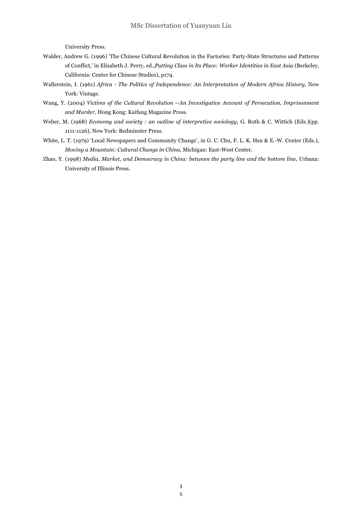University Press.

- Walder, Andrew G. (1996) 'The Chinese Cultural Revolution in the Factories: Party-State Structures and Patterns of Conflict,' in Elizabeth J. Perry, ed.,*Putting Class in Its Place: Worker Identities in East Asia* (Berkeley, California: Center for Chinese Studies), p174.
- Wallerstein, I. (1961) *Africa - The Politics of Independence: An Interpretation of Modern Africa History,* New York: Vintage.
- Wang, Y. (2004) *Victims of the Cultural Revolution --An Investigative Account of Persecution, Imprisonment and Murder,* Hong Kong: Kaifang Magazine Press.
- Weber, M. (1968) *Economy and society : an outline of interpretive sociology,* G. Roth & C. Wittich (Eds.)(pp. 1111-1126), New York: Bedminster Press.
- White, L. T. (1979) 'Local Newspapers and Community Change', in G. C. Chu, F. L. K. Hsu & E.-W. Center (Eds.), *Moving a Mountain: Cultural Change in China,* Michigan: East-West Center.
- Zhao, Y. (1998) *Media, Market, and Democracy in China: between the party line and the bottom line,* Urbana: University of Illinois Press.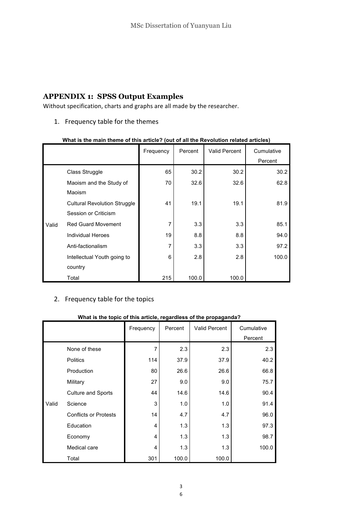# **APPENDIX 1: SPSS Output Examples**

Without specification, charts and graphs are all made by the researcher.

1. Frequency table for the themes

|       |                                     | Frequency | Percent | Valid Percent | Cumulative |
|-------|-------------------------------------|-----------|---------|---------------|------------|
|       |                                     |           |         |               | Percent    |
|       | Class Struggle                      | 65        | 30.2    | 30.2          | 30.2       |
|       | Maoism and the Study of             | 70        | 32.6    | 32.6          | 62.8       |
|       | Maoism                              |           |         |               |            |
| Valid | <b>Cultural Revolution Struggle</b> | 41        | 19.1    | 19.1          | 81.9       |
|       | Session or Criticism                |           |         |               |            |
|       | <b>Red Guard Movement</b>           | 7         | 3.3     | 3.3           | 85.1       |
|       | Individual Heroes                   | 19        | 8.8     | 8.8           | 94.0       |
|       | Anti-factionalism                   | 7         | 3.3     | 3.3           | 97.2       |
|       | Intellectual Youth going to         | 6         | 2.8     | 2.8           | 100.0      |
|       | country                             |           |         |               |            |
|       | Total                               | 215       | 100.0   | 100.0         |            |

#### **What is the main theme of this article? (out of all the Revolution related articles)**

# 2. Frequency table for the topics

#### **What is the topic of this article, regardless of the propaganda?**

|       |                              | Frequency | Percent | <b>Valid Percent</b> | Cumulative |
|-------|------------------------------|-----------|---------|----------------------|------------|
|       |                              |           |         |                      | Percent    |
| Valid | None of these                | 7         | 2.3     | 2.3                  | 2.3        |
|       | <b>Politics</b>              | 114       | 37.9    | 37.9                 | 40.2       |
|       | Production                   | 80        | 26.6    | 26.6                 | 66.8       |
|       | Military                     | 27        | 9.0     | 9.0                  | 75.7       |
|       | <b>Culture and Sports</b>    | 44        | 14.6    | 14.6                 | 90.4       |
|       | Science                      | 3         | 1.0     | 1.0                  | 91.4       |
|       | <b>Conflicts or Protests</b> | 14        | 4.7     | 4.7                  | 96.0       |
|       | Education                    | 4         | 1.3     | 1.3                  | 97.3       |
|       | Economy                      | 4         | 1.3     | 1.3                  | 98.7       |
|       | Medical care                 | 4         | 1.3     | 1.3                  | 100.0      |
|       | Total                        | 301       | 100.0   | 100.0                |            |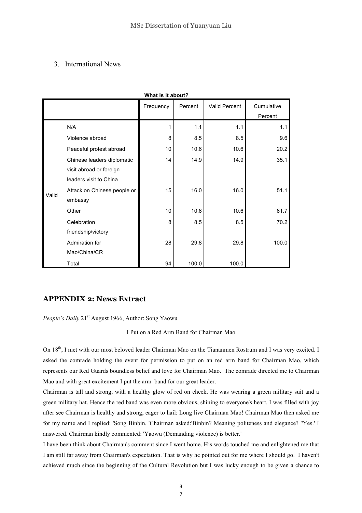## 3. International News

| what is it about? |                             |           |         |               |                       |  |  |
|-------------------|-----------------------------|-----------|---------|---------------|-----------------------|--|--|
|                   |                             | Frequency | Percent | Valid Percent | Cumulative<br>Percent |  |  |
| Valid             | N/A                         | 1         | 1.1     | 1.1           | 1.1                   |  |  |
|                   | Violence abroad             | 8         | 8.5     | 8.5           | 9.6                   |  |  |
|                   | Peaceful protest abroad     | 10        | 10.6    | 10.6          | 20.2                  |  |  |
|                   | Chinese leaders diplomatic  | 14        | 14.9    | 14.9          | 35.1                  |  |  |
|                   | visit abroad or foreign     |           |         |               |                       |  |  |
|                   | leaders visit to China      |           |         |               |                       |  |  |
|                   | Attack on Chinese people or | 15        | 16.0    | 16.0          | 51.1                  |  |  |
|                   | embassy                     |           |         |               |                       |  |  |
|                   | Other                       | 10        | 10.6    | 10.6          | 61.7                  |  |  |
|                   | Celebration                 | 8         | 8.5     | 8.5           | 70.2                  |  |  |
|                   | friendship/victory          |           |         |               |                       |  |  |
|                   | Admiration for              | 28        | 29.8    | 29.8          | 100.0                 |  |  |
|                   | Mao/China/CR                |           |         |               |                       |  |  |
|                   | Total                       | 94        | 100.0   | 100.0         |                       |  |  |

## what is it is in the **interest of the second interest of the interest of the** *in***dice**

## **APPENDIX 2: News Extract**

*People's Daily* 21<sup>st</sup> August 1966, Author: Song Yaowu

I Put on a Red Arm Band for Chairman Mao

On 18<sup>th</sup>, I met with our most beloved leader Chairman Mao on the Tiananmen Rostrum and I was very excited. I asked the comrade holding the event for permission to put on an red arm band for Chairman Mao, which represents our Red Guards boundless belief and love for Chairman Mao. The comrade directed me to Chairman Mao and with great excitement I put the arm band for our great leader.

Chairman is tall and strong, with a healthy glow of red on cheek. He was wearing a green military suit and a green military hat. Hence the red band was even more obvious, shining to everyone's heart. I was filled with joy after see Chairman is healthy and strong, eager to hail: Long live Chairman Mao! Chairman Mao then asked me for my name and I replied: 'Song Binbin. 'Chairman asked:'Binbin? Meaning politeness and elegance? ''Yes.' I answered. Chairman kindly commented: 'Yaowu (Demanding violence) is better.'

I have been think about Chairman's comment since I went home. His words touched me and enlightened me that I am still far away from Chairman's expectation. That is why he pointed out for me where I should go. I haven't achieved much since the beginning of the Cultural Revolution but I was lucky enough to be given a chance to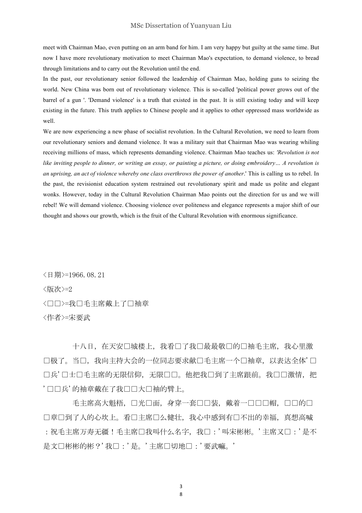meet with Chairman Mao, even putting on an arm band for him. I am very happy but guilty at the same time. But now I have more revolutionary motivation to meet Chairman Mao's expectation, to demand violence, to bread through limitations and to carry out the Revolution until the end.

In the past, our revolutionary senior followed the leadership of Chairman Mao, holding guns to seizing the world. New China was born out of revolutionary violence. This is so-called 'political power grows out of the barrel of a gun '. 'Demand violence' is a truth that existed in the past. It is still existing today and will keep existing in the future. This truth applies to Chinese people and it applies to other oppressed mass worldwide as well.

We are now experiencing a new phase of socialist revolution. In the Cultural Revolution, we need to learn from our revolutionary seniors and demand violence. It was a military suit that Chairman Mao was wearing whiling receiving millions of mass, which represents demanding violence. Chairman Mao teaches us: *'Revolution is not like inviting people to dinner, or writing an essay, or painting a picture, or doing embroidery… A revolution is an uprising, an act of violence whereby one class overthrows the power of another*.' This is calling us to rebel. In the past, the revisionist education system restrained out revolutionary spirit and made us polite and elegant wonks. However, today in the Cultural Revolution Chairman Mao points out the direction for us and we will rebel! We will demand violence. Choosing violence over politeness and elegance represents a major shift of our thought and shows our growth, which is the fruit of the Cultural Revolution with enormous significance.

<日期>=1966.08.21 <版次>=2 < $\Box$ =我口毛主席戴上了口袖章 <作者>=宋要武

十八日, 在天安口城楼上, 我看口了我口最最敬口的口袖毛主席, 我心里激 口极了。当口,我向主持大会的一位同志要求献口毛主席一个口袖章,以表达全体'口 口兵'口士口毛主席的无限信仰,无限口口。他把我口到了主席跟前。我口口激情,把 '口口兵'的袖章戴在了我口口大口袖的臂上。

毛主席高大魁梧,口光口面,身穿一套口口装,戴着一口口口帽,口口的口 口章口到了人的心坎上。看口主席口么健壮,我心中感到有口不出的幸福,真想高喊 :祝毛主席万寿无疆!毛主席口我叫什么名字,我口:'叫宋彬彬。'主席又口:'是不 是文口彬彬的彬?'我口:'是。'主席口切地口:'要武嘛。'

> 3 8